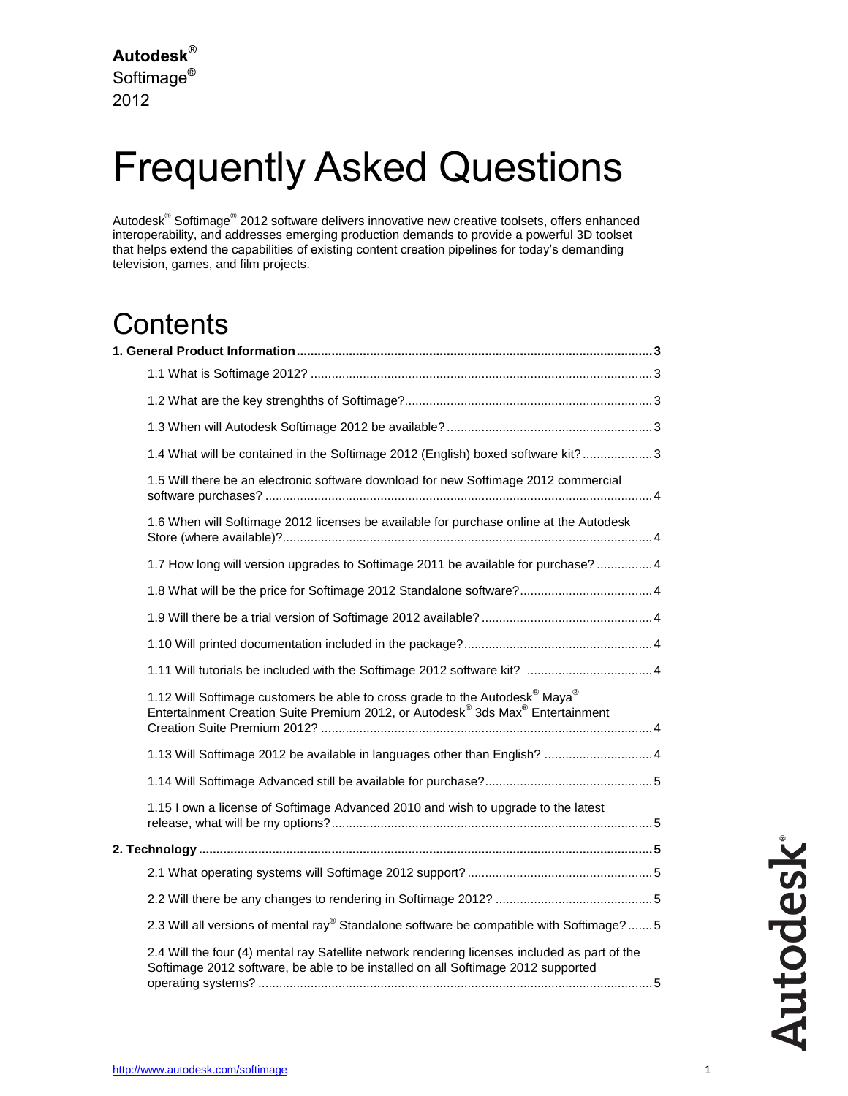# Frequently Asked Questions

Autodesk® Softimage<sup>®</sup> 2012 software delivers innovative new creative toolsets, offers enhanced interoperability, and addresses emerging production demands to provide a powerful 3D toolset that helps extend the capabilities of existing content creation pipelines for today's demanding television, games, and film projects.

### **Contents**

|  |                                                                                                                                                                                                               | 1.4 What will be contained in the Softimage 2012 (English) boxed software kit?3                     |
|--|---------------------------------------------------------------------------------------------------------------------------------------------------------------------------------------------------------------|-----------------------------------------------------------------------------------------------------|
|  | 1.5 Will there be an electronic software download for new Softimage 2012 commercial                                                                                                                           |                                                                                                     |
|  | 1.6 When will Softimage 2012 licenses be available for purchase online at the Autodesk                                                                                                                        |                                                                                                     |
|  |                                                                                                                                                                                                               | 1.7 How long will version upgrades to Softimage 2011 be available for purchase? 4                   |
|  |                                                                                                                                                                                                               | 1.8 What will be the price for Softimage 2012 Standalone software? 4                                |
|  |                                                                                                                                                                                                               |                                                                                                     |
|  |                                                                                                                                                                                                               |                                                                                                     |
|  |                                                                                                                                                                                                               |                                                                                                     |
|  | 1.12 Will Softimage customers be able to cross grade to the Autodesk <sup>®</sup> Maya <sup>®</sup><br>Entertainment Creation Suite Premium 2012, or Autodesk <sup>®</sup> 3ds Max <sup>®</sup> Entertainment |                                                                                                     |
|  |                                                                                                                                                                                                               | 1.13 Will Softimage 2012 be available in languages other than English?  4                           |
|  |                                                                                                                                                                                                               |                                                                                                     |
|  | 1.15 I own a license of Softimage Advanced 2010 and wish to upgrade to the latest                                                                                                                             |                                                                                                     |
|  |                                                                                                                                                                                                               |                                                                                                     |
|  |                                                                                                                                                                                                               |                                                                                                     |
|  |                                                                                                                                                                                                               |                                                                                                     |
|  |                                                                                                                                                                                                               | 2.3 Will all versions of mental ray <sup>®</sup> Standalone software be compatible with Softimage?5 |
|  | 2.4 Will the four (4) mental ray Satellite network rendering licenses included as part of the<br>Softimage 2012 software, be able to be installed on all Softimage 2012 supported                             |                                                                                                     |

**Autodesk**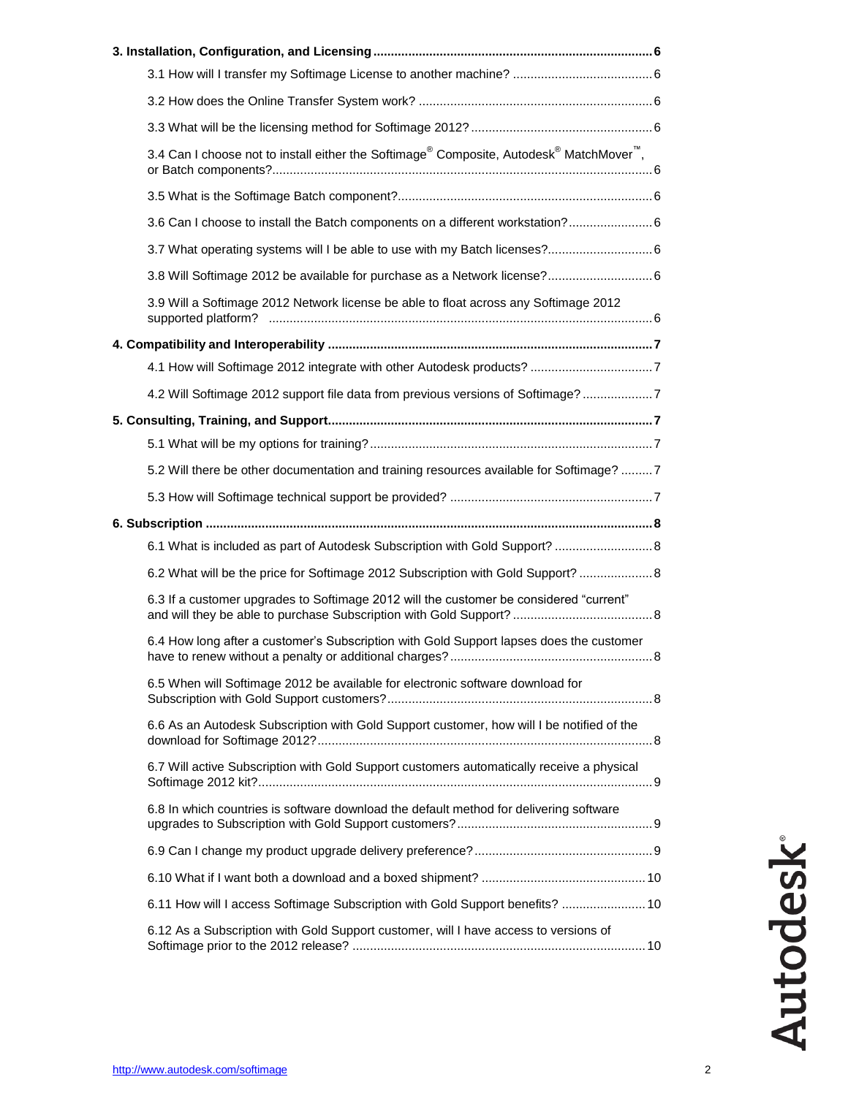|  | 3.4 Can I choose not to install either the Softimage® Composite, Autodesk® MatchMover <sup>™</sup> , |  |  |  |
|--|------------------------------------------------------------------------------------------------------|--|--|--|
|  |                                                                                                      |  |  |  |
|  | 3.6 Can I choose to install the Batch components on a different workstation? 6                       |  |  |  |
|  |                                                                                                      |  |  |  |
|  |                                                                                                      |  |  |  |
|  | 3.9 Will a Softimage 2012 Network license be able to float across any Softimage 2012                 |  |  |  |
|  |                                                                                                      |  |  |  |
|  |                                                                                                      |  |  |  |
|  | 4.2 Will Softimage 2012 support file data from previous versions of Softimage?7                      |  |  |  |
|  |                                                                                                      |  |  |  |
|  |                                                                                                      |  |  |  |
|  | 5.2 Will there be other documentation and training resources available for Softimage? 7              |  |  |  |
|  |                                                                                                      |  |  |  |
|  |                                                                                                      |  |  |  |
|  | 6.1 What is included as part of Autodesk Subscription with Gold Support?  8                          |  |  |  |
|  | 6.2 What will be the price for Softimage 2012 Subscription with Gold Support?  8                     |  |  |  |
|  | 6.3 If a customer upgrades to Softimage 2012 will the customer be considered "current"               |  |  |  |
|  | 6.4 How long after a customer's Subscription with Gold Support lapses does the customer<br>. 8       |  |  |  |
|  | 6.5 When will Softimage 2012 be available for electronic software download for                       |  |  |  |
|  | 6.6 As an Autodesk Subscription with Gold Support customer, how will I be notified of the            |  |  |  |
|  | 6.7 Will active Subscription with Gold Support customers automatically receive a physical            |  |  |  |
|  | 6.8 In which countries is software download the default method for delivering software               |  |  |  |
|  |                                                                                                      |  |  |  |
|  |                                                                                                      |  |  |  |
|  | 6.11 How will I access Softimage Subscription with Gold Support benefits?  10                        |  |  |  |
|  | 6.12 As a Subscription with Gold Support customer, will I have access to versions of                 |  |  |  |
|  |                                                                                                      |  |  |  |

**Autodesk®**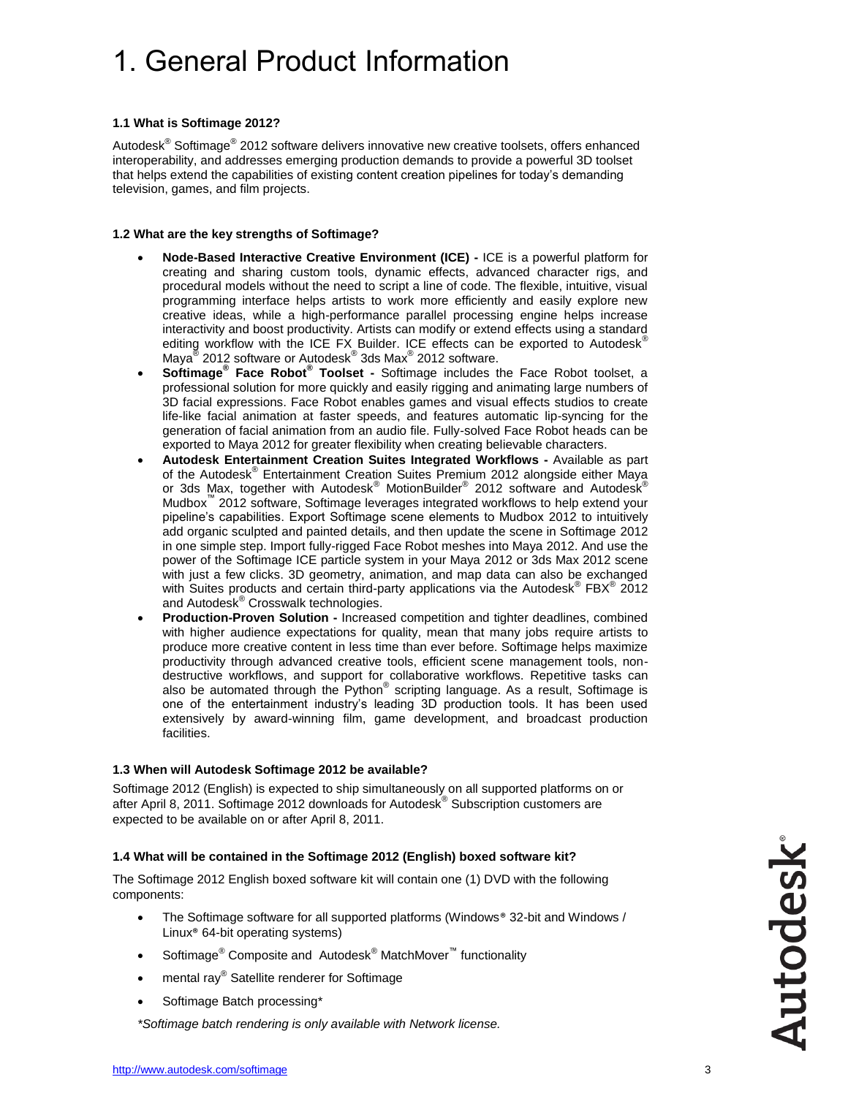# 1. General Product Information

#### **1.1 What is Softimage 2012?**

Autodesk® Softimage<sup>®</sup> 2012 software delivers innovative new creative toolsets, offers enhanced interoperability, and addresses emerging production demands to provide a powerful 3D toolset that helps extend the capabilities of existing content creation pipelines for today's demanding television, games, and film projects.

#### **1.2 What are the key strengths of Softimage?**

- **Node-Based Interactive Creative Environment (ICE) -** ICE is a powerful platform for creating and sharing custom tools, dynamic effects, advanced character rigs, and procedural models without the need to script a line of code. The flexible, intuitive, visual programming interface helps artists to work more efficiently and easily explore new creative ideas, while a high-performance parallel processing engine helps increase interactivity and boost productivity. Artists can modify or extend effects using a standard editing workflow with the ICE FX Builder. ICE effects can be exported to Autodesk® Maya<sup>®</sup> 2012 software or Autodesk<sup>®</sup> 3ds Max<sup>®</sup> 2012 software.
- **Softimage® Face Robot® Toolset -** Softimage includes the Face Robot toolset, a professional solution for more quickly and easily rigging and animating large numbers of 3D facial expressions. Face Robot enables games and visual effects studios to create life-like facial animation at faster speeds, and features automatic lip-syncing for the generation of facial animation from an audio file. Fully-solved Face Robot heads can be exported to Maya 2012 for greater flexibility when creating believable characters.
- **Autodesk Entertainment Creation Suites Integrated Workflows -** Available as part of the Autodesk® Entertainment Creation Suites Premium 2012 alongside either Maya or 3ds Max, together with Autodesk® MotionBuilder® 2012 software and Autodesk® Mudbox™ 2012 software, Softimage leverages integrated workflows to help extend your pipeline's capabilities. Export Softimage scene elements to Mudbox 2012 to intuitively add organic sculpted and painted details, and then update the scene in Softimage 2012 in one simple step. Import fully-rigged Face Robot meshes into Maya 2012. And use the power of the Softimage ICE particle system in your Maya 2012 or 3ds Max 2012 scene with just a few clicks. 3D geometry, animation, and map data can also be exchanged with Suites products and certain third-party applications via the Autodesk® FBX® 2012 and Autodesk® Crosswalk technologies.
- **Production-Proven Solution -** Increased competition and tighter deadlines, combined with higher audience expectations for quality, mean that many jobs require artists to produce more creative content in less time than ever before. Softimage helps maximize productivity through advanced creative tools, efficient scene management tools, nondestructive workflows, and support for collaborative workflows. Repetitive tasks can also be automated through the Python® scripting language. As a result, Softimage is one of the entertainment industry's leading 3D production tools. It has been used extensively by award-winning film, game development, and broadcast production facilities.

#### **1.3 When will Autodesk Softimage 2012 be available?**

Softimage 2012 (English) is expected to ship simultaneously on all supported platforms on or after April 8, 2011. Softimage 2012 downloads for Autodesk® Subscription customers are expected to be available on or after April 8, 2011.

#### **1.4 What will be contained in the Softimage 2012 (English) boxed software kit?**

The Softimage 2012 English boxed software kit will contain one (1) DVD with the following components:

- The Softimage software for all supported platforms (Windows® 32-bit and Windows / Linux® 64-bit operating systems)
- Softimage<sup>®</sup> Composite and Autodesk<sup>®</sup> MatchMover<sup>™</sup> functionality
- mental ray® Satellite renderer for Softimage
- Softimage Batch processing\*

*\*Softimage batch rendering is only available with Network license.*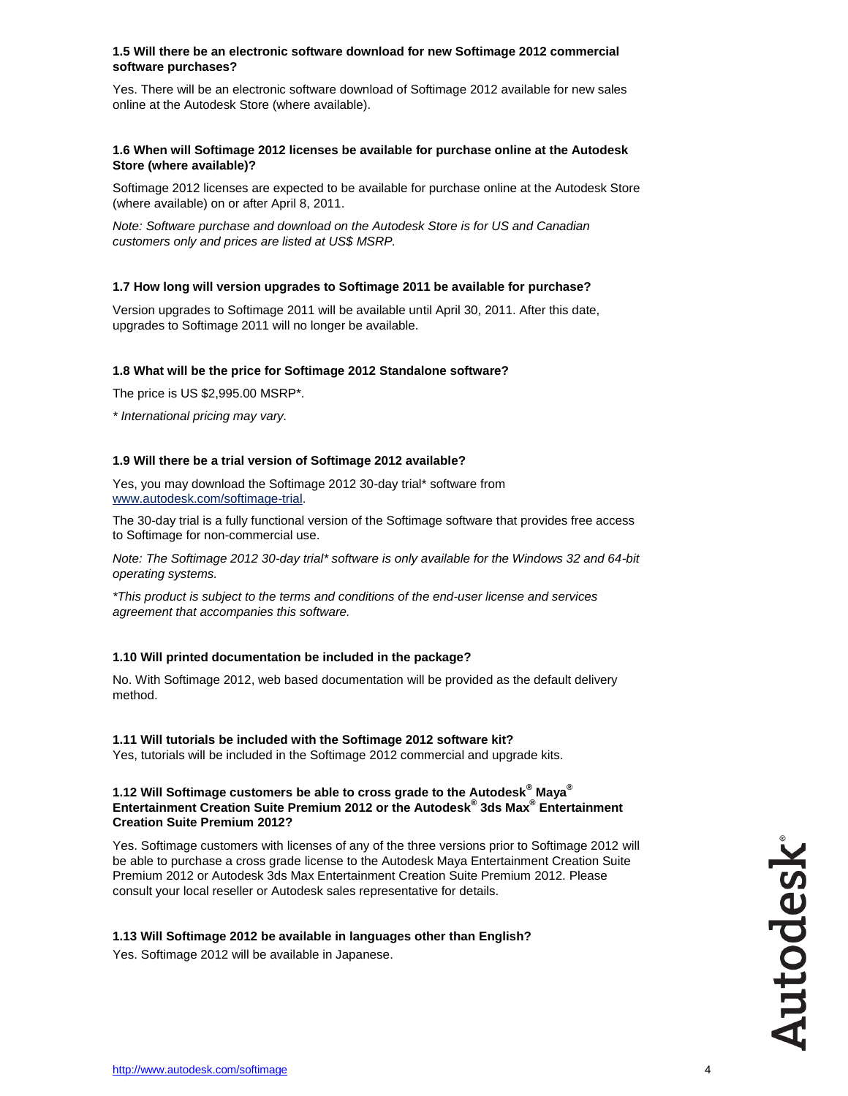#### **1.5 Will there be an electronic software download for new Softimage 2012 commercial software purchases?**

Yes. There will be an electronic software download of Softimage 2012 available for new sales online at the Autodesk Store (where available).

#### **1.6 When will Softimage 2012 licenses be available for purchase online at the Autodesk Store (where available)?**

Softimage 2012 licenses are expected to be available for purchase online at the Autodesk Store (where available) on or after April 8, 2011.

*Note: Software purchase and download on the Autodesk Store is for US and Canadian customers only and prices are listed at US\$ MSRP.*

#### **1.7 How long will version upgrades to Softimage 2011 be available for purchase?**

Version upgrades to Softimage 2011 will be available until April 30, 2011. After this date, upgrades to Softimage 2011 will no longer be available.

#### **1.8 What will be the price for Softimage 2012 Standalone software?**

The price is US \$2,995.00 MSRP\*.

*\* International pricing may vary.*

#### **1.9 Will there be a trial version of Softimage 2012 available?**

Yes, you may download the Softimage 2012 30-day trial\* software from [www.autodesk.com/softimage-trial.](http://www.autodesk.com/softimage-trial)

The 30-day trial is a fully functional version of the Softimage software that provides free access to Softimage for non-commercial use.

*Note: The Softimage 2012 30-day trial\* software is only available for the Windows 32 and 64-bit operating systems.*

*\*This product is subject to the terms and conditions of the end-user license and services agreement that accompanies this software.*

#### **1.10 Will printed documentation be included in the package?**

No. With Softimage 2012, web based documentation will be provided as the default delivery method.

#### **1.11 Will tutorials be included with the Softimage 2012 software kit?**

Yes, tutorials will be included in the Softimage 2012 commercial and upgrade kits.

#### **1.12 Will Softimage customers be able to cross grade to the Autodesk® Maya® Entertainment Creation Suite Premium 2012 or the Autodesk® 3ds Max® Entertainment Creation Suite Premium 2012?**

Yes. Softimage customers with licenses of any of the three versions prior to Softimage 2012 will be able to purchase a cross grade license to the Autodesk Maya Entertainment Creation Suite Premium 2012 or Autodesk 3ds Max Entertainment Creation Suite Premium 2012. Please consult your local reseller or Autodesk sales representative for details.

#### **1.13 Will Softimage 2012 be available in languages other than English?**

Yes. Softimage 2012 will be available in Japanese.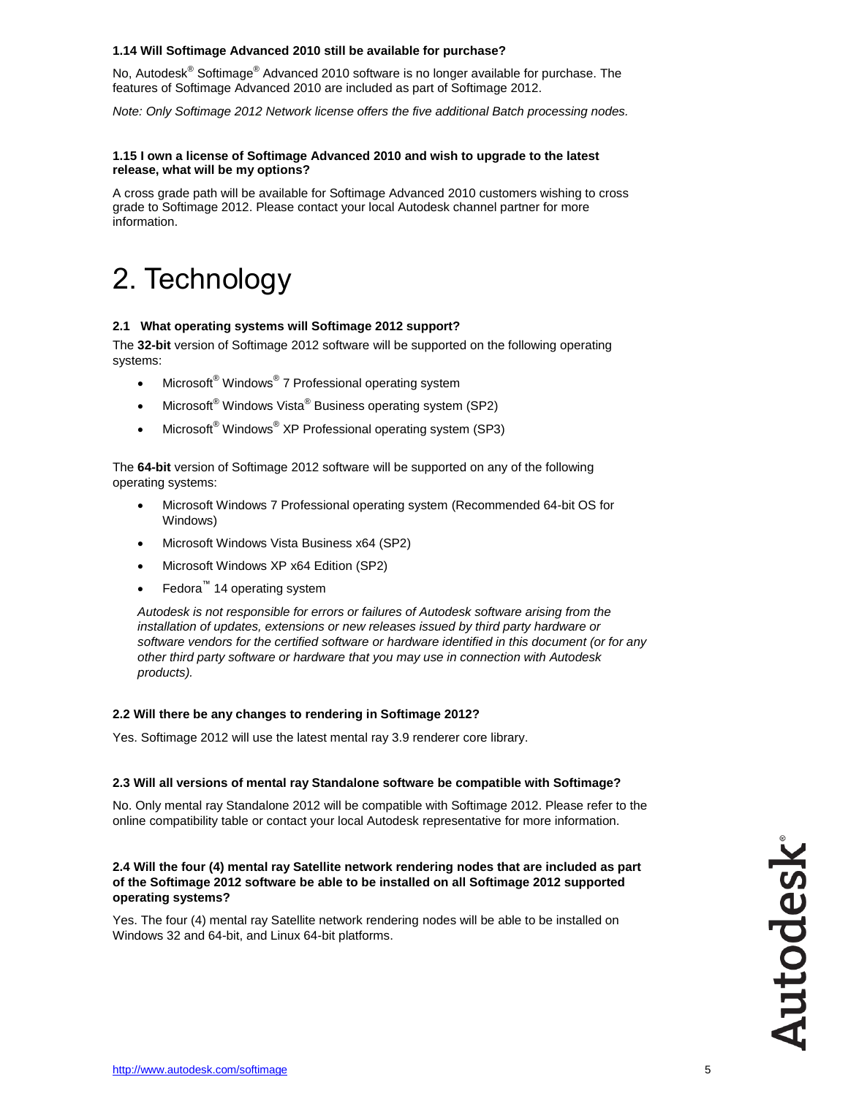#### **1.14 Will Softimage Advanced 2010 still be available for purchase?**

No, Autodesk<sup>®</sup> Softimage<sup>®</sup> Advanced 2010 software is no longer available for purchase. The features of Softimage Advanced 2010 are included as part of Softimage 2012.

*Note: Only Softimage 2012 Network license offers the five additional Batch processing nodes.* 

#### **1.15 I own a license of Softimage Advanced 2010 and wish to upgrade to the latest release, what will be my options?**

A cross grade path will be available for Softimage Advanced 2010 customers wishing to cross grade to Softimage 2012. Please contact your local Autodesk channel partner for more information.

### 2. Technology

#### **2.1 What operating systems will Softimage 2012 support?**

The **32-bit** version of Softimage 2012 software will be supported on the following operating systems:

- Microsoft® Windows® 7 Professional operating system
- Microsoft<sup>®</sup> Windows Vista<sup>®</sup> Business operating system (SP2)
- Microsoft® Windows® XP Professional operating system (SP3)

The **64-bit** version of Softimage 2012 software will be supported on any of the following operating systems:

- Microsoft Windows 7 Professional operating system (Recommended 64-bit OS for Windows)
- Microsoft Windows Vista Business x64 (SP2)
- Microsoft Windows XP x64 Edition (SP2)
- Fedora™ 14 operating system

*Autodesk is not responsible for errors or failures of Autodesk software arising from the installation of updates, extensions or new releases issued by third party hardware or software vendors for the certified software or hardware identified in this document (or for any other third party software or hardware that you may use in connection with Autodesk products).*

#### **2.2 Will there be any changes to rendering in Softimage 2012?**

Yes. Softimage 2012 will use the latest mental ray 3.9 renderer core library.

#### **2.3 Will all versions of mental ray Standalone software be compatible with Softimage?**

No. Only mental ray Standalone 2012 will be compatible with Softimage 2012. Please refer to the online [compatibility table](http://usa.autodesk.com/adsk/servlet/index?siteID=123112&id=6861804) or contact your local Autodesk representative for more information.

**2.4 Will the four (4) mental ray Satellite network rendering nodes that are included as part of the Softimage 2012 software be able to be installed on all Softimage 2012 supported operating systems?**

Yes. The four (4) mental ray Satellite network rendering nodes will be able to be installed on Windows 32 and 64-bit, and Linux 64-bit platforms.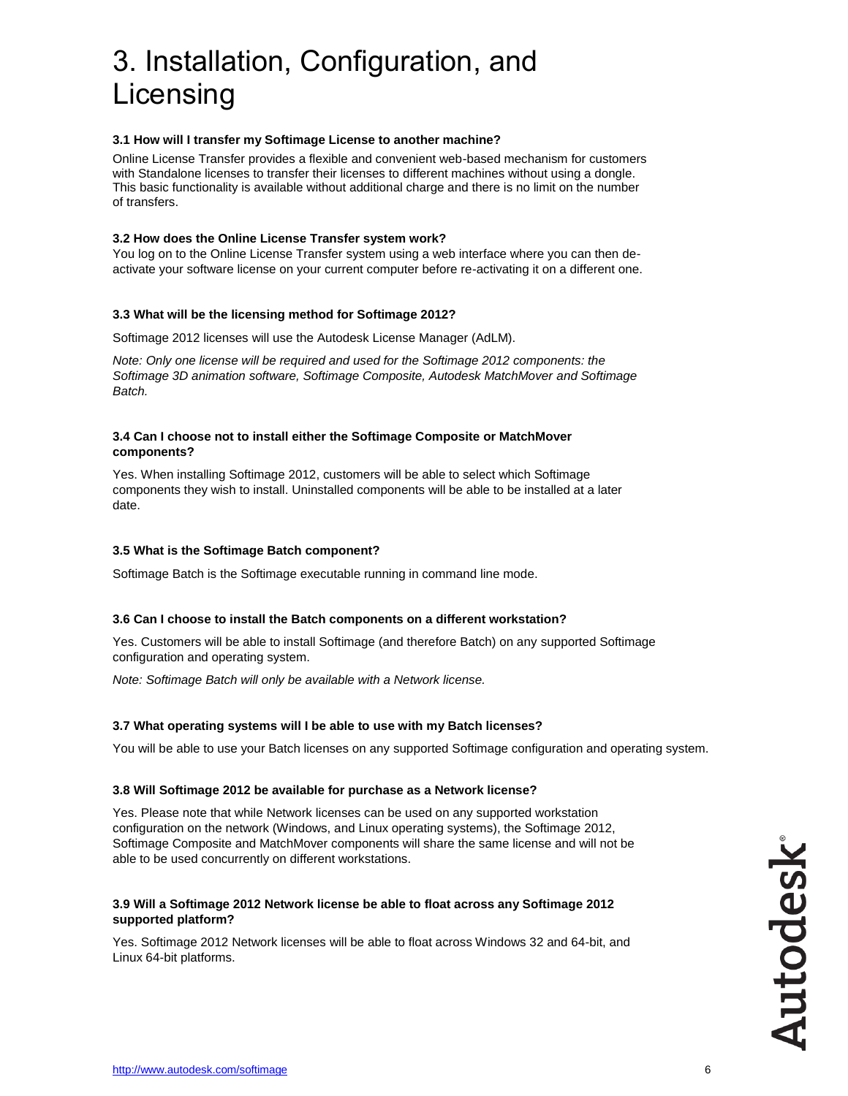# 3. Installation, Configuration, and Licensing

#### **3.1 How will I transfer my Softimage License to another machine?**

Online License Transfer provides a flexible and convenient web-based mechanism for customers with Standalone licenses to transfer their licenses to different machines without using a dongle. This basic functionality is available without additional charge and there is no limit on the number of transfers.

#### **3.2 How does the Online License Transfer system work?**

You log on to the Online License Transfer system using a web interface where you can then deactivate your software license on your current computer before re-activating it on a different one.

#### **3.3 What will be the licensing method for Softimage 2012?**

Softimage 2012 licenses will use the Autodesk License Manager (AdLM).

*Note: Only one license will be required and used for the Softimage 2012 components: the Softimage 3D animation software, Softimage Composite, Autodesk MatchMover and Softimage Batch.*

#### **3.4 Can I choose not to install either the Softimage Composite or MatchMover components?**

Yes. When installing Softimage 2012, customers will be able to select which Softimage components they wish to install. Uninstalled components will be able to be installed at a later date.

#### **3.5 What is the Softimage Batch component?**

Softimage Batch is the Softimage executable running in command line mode.

#### **3.6 Can I choose to install the Batch components on a different workstation?**

Yes. Customers will be able to install Softimage (and therefore Batch) on any supported Softimage configuration and operating system.

*Note: Softimage Batch will only be available with a Network license.*

#### **3.7 What operating systems will I be able to use with my Batch licenses?**

You will be able to use your Batch licenses on any supported Softimage configuration and operating system.

#### **3.8 Will Softimage 2012 be available for purchase as a Network license?**

Yes. Please note that while Network licenses can be used on any supported workstation configuration on the network (Windows, and Linux operating systems), the Softimage 2012, Softimage Composite and MatchMover components will share the same license and will not be able to be used concurrently on different workstations.

#### **3.9 Will a Softimage 2012 Network license be able to float across any Softimage 2012 supported platform?**

Yes. Softimage 2012 Network licenses will be able to float across Windows 32 and 64-bit, and Linux 64-bit platforms.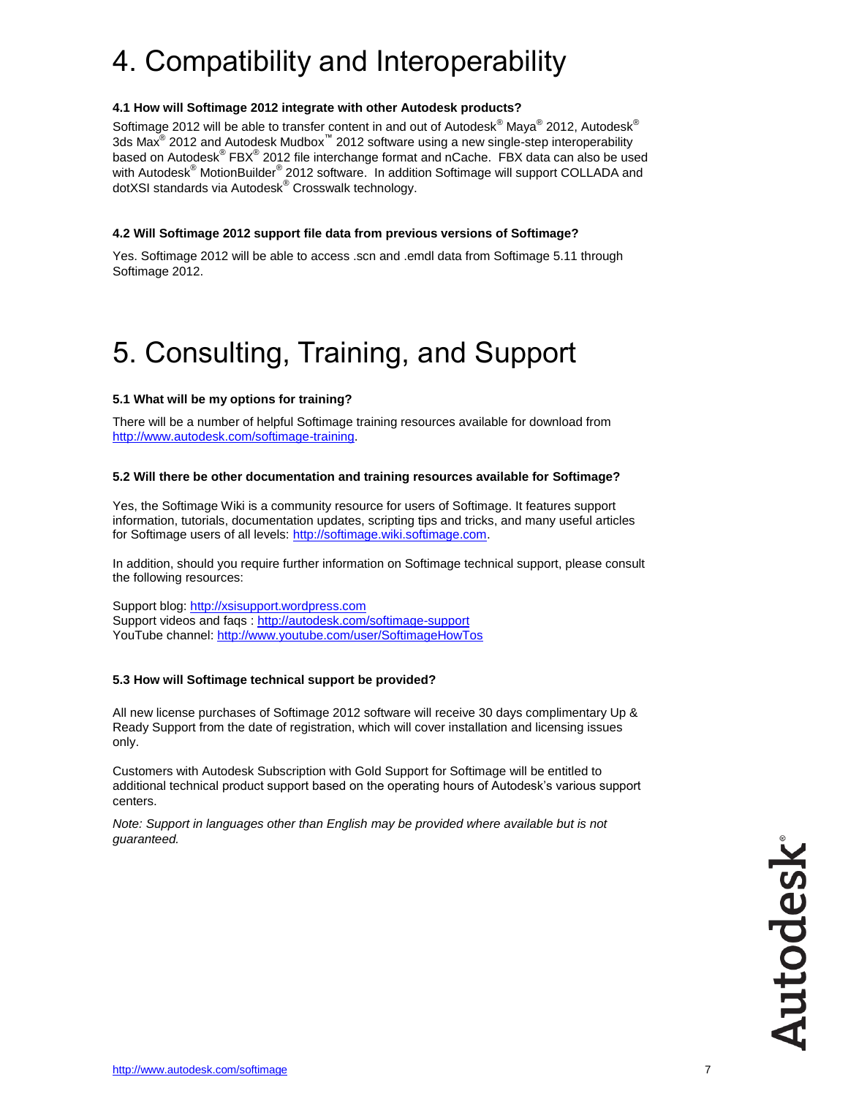# 4. Compatibility and Interoperability

#### **4.1 How will Softimage 2012 integrate with other Autodesk products?**

Softimage 2012 will be able to transfer content in and out of Autodesk $^{\circledast}$  Maya $^{\circledast}$  2012, Autodesk $^{\circledast}$ 3ds Max $^{\circledR}$  2012 and Autodesk Mudbox $^{\mathbb{m}}$  2012 software using a new single-step interoperability based on Autodesk® FBX® 2012 file interchange format and nCache. FBX data can also be used with Autodesk® MotionBuilder® 2012 software. In addition Softimage will support COLLADA and dotXSI standards via Autodesk<sup>®</sup> Crosswalk technology.

#### **4.2 Will Softimage 2012 support file data from previous versions of Softimage?**

Yes. Softimage 2012 will be able to access .scn and .emdl data from Softimage 5.11 through Softimage 2012.

# 5. Consulting, Training, and Support

#### **5.1 What will be my options for training?**

There will be a number of helpful Softimage training resources available for download from [http://www.autodesk.com/softimage-training.](http://www.autodesk.com/softimage-training)

#### **5.2 Will there be other documentation and training resources available for Softimage?**

Yes, the Softimage Wiki is a community resource for users of Softimage. It features support information, tutorials, documentation updates, scripting tips and tricks, and many useful articles for Softimage users of all levels: [http://softimage.wiki.softimage.com.](http://softimage.wiki.softimage.com/)

In addition, should you require further information on Softimage technical support, please consult the following resources:

Support blog: [http://xsisupport.wordpress.com](http://xsisupport.wordpress.com/) Support videos and faqs :<http://autodesk.com/softimage-support> YouTube channel:<http://www.youtube.com/user/SoftimageHowTos>

#### **5.3 How will Softimage technical support be provided?**

All new license purchases of Softimage 2012 software will receive 30 days complimentary Up & Ready Support from the date of registration, which will cover installation and licensing issues only.

Customers with Autodesk Subscription with Gold Support for Softimage will be entitled to additional technical product support based on the operating hours of Autodesk's various support centers.

*Note: Support in languages other than English may be provided where available but is not guaranteed.*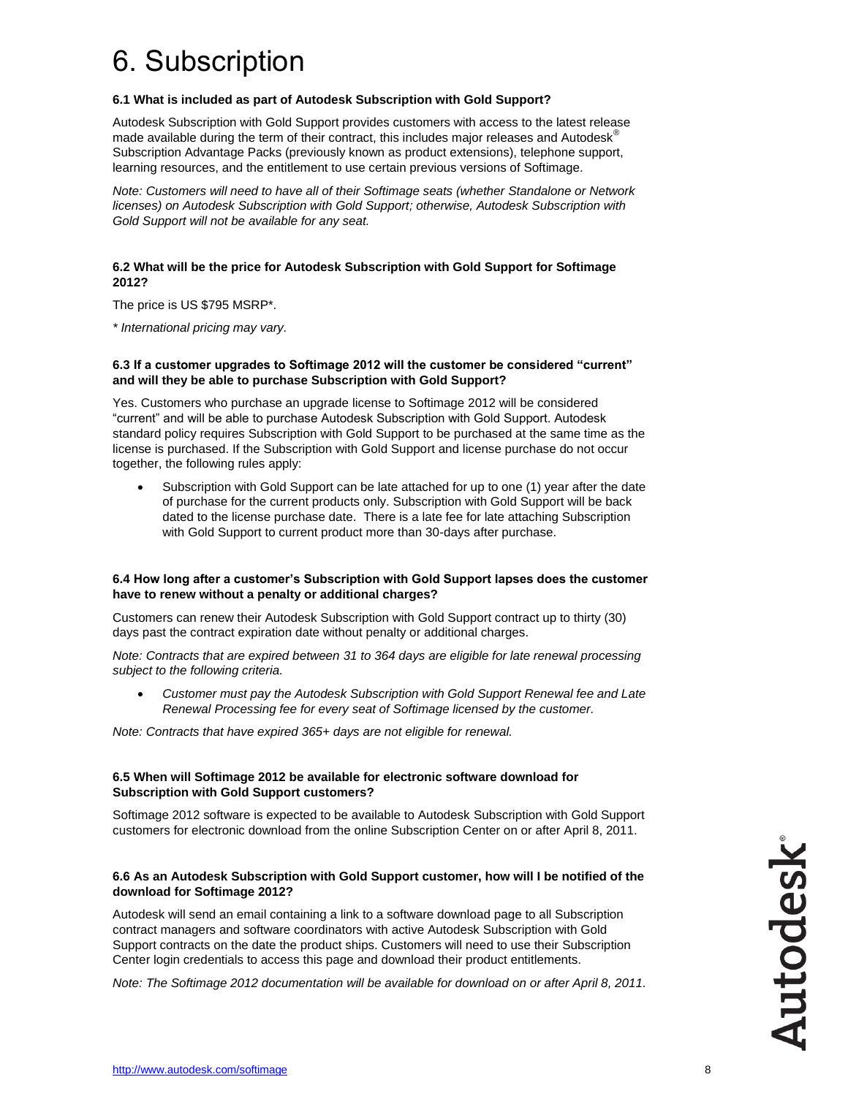# 6. Subscription

#### **6.1 What is included as part of Autodesk Subscription with Gold Support?**

Autodesk Subscription with Gold Support provides customers with access to the latest release made available during the term of their contract, this includes major releases and Autodesk<sup>®</sup> Subscription Advantage Packs (previously known as product extensions), telephone support, learning resources, and the entitlement to use certain previous versions of Softimage.

*Note: Customers will need to have all of their Softimage seats (whether Standalone or Network licenses) on Autodesk Subscription with Gold Support; otherwise, Autodesk Subscription with Gold Support will not be available for any seat.* 

#### **6.2 What will be the price for Autodesk Subscription with Gold Support for Softimage 2012?**

The price is US \$795 MSRP\*.

*\* International pricing may vary.*

#### **6.3 If a customer upgrades to Softimage 2012 will the customer be considered "current" and will they be able to purchase Subscription with Gold Support?**

Yes. Customers who purchase an upgrade license to Softimage 2012 will be considered "current" and will be able to purchase Autodesk Subscription with Gold Support. Autodesk standard policy requires Subscription with Gold Support to be purchased at the same time as the license is purchased. If the Subscription with Gold Support and license purchase do not occur together, the following rules apply:

 Subscription with Gold Support can be late attached for up to one (1) year after the date of purchase for the current products only. Subscription with Gold Support will be back dated to the license purchase date. There is a late fee for late attaching Subscription with Gold Support to current product more than 30-days after purchase.

#### **6.4 How long after a customer's Subscription with Gold Support lapses does the customer have to renew without a penalty or additional charges?**

Customers can renew their Autodesk Subscription with Gold Support contract up to thirty (30) days past the contract expiration date without penalty or additional charges.

*Note: Contracts that are expired between 31 to 364 days are eligible for late renewal processing subject to the following criteria.*

 *Customer must pay the Autodesk Subscription with Gold Support Renewal fee and Late Renewal Processing fee for every seat of Softimage licensed by the customer.*

*Note: Contracts that have expired 365+ days are not eligible for renewal.* 

#### **6.5 When will Softimage 2012 be available for electronic software download for Subscription with Gold Support customers?**

Softimage 2012 software is expected to be available to Autodesk Subscription with Gold Support customers for electronic download from the online Subscription Center on or after April 8, 2011.

#### **6.6 As an Autodesk Subscription with Gold Support customer, how will I be notified of the download for Softimage 2012?**

Autodesk will send an email containing a link to a software download page to all Subscription contract managers and software coordinators with active Autodesk Subscription with Gold Support contracts on the date the product ships. Customers will need to use their Subscription Center login credentials to access this page and download their product entitlements.

*Note: The Softimage 2012 documentation will be available for download on or after April 8, 2011.*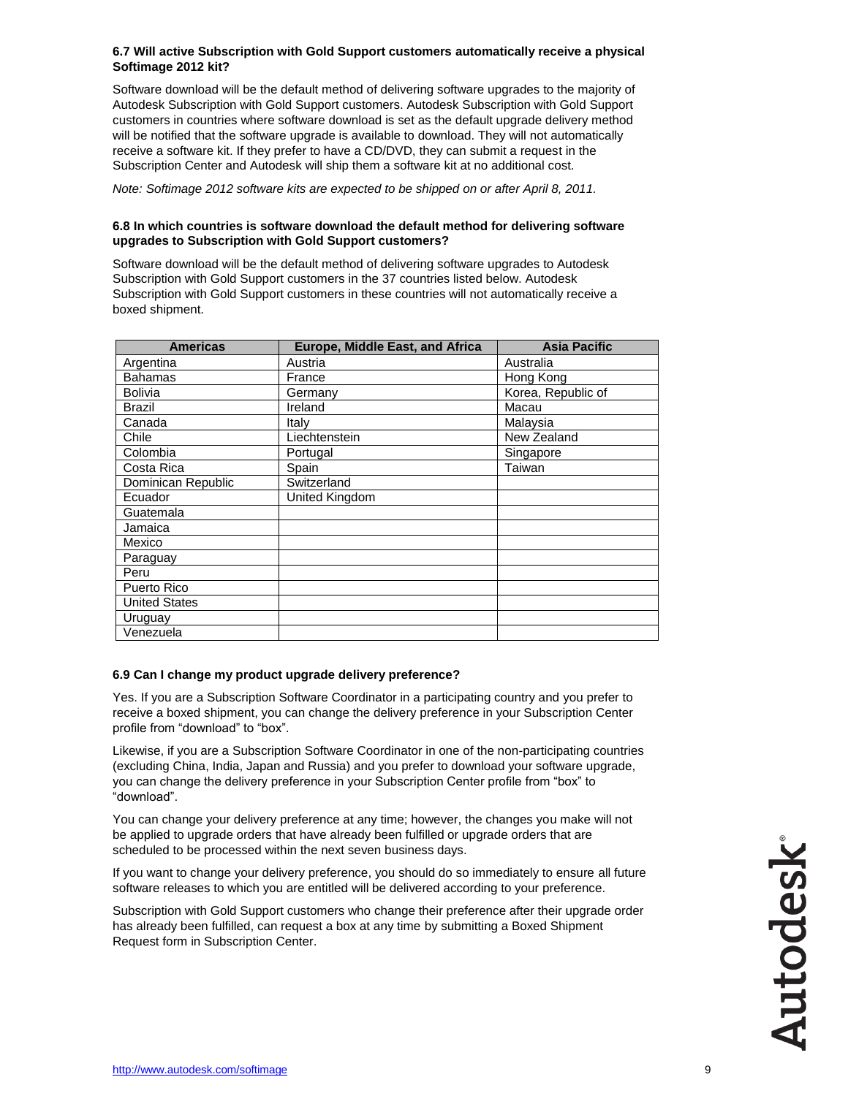#### **6.7 Will active Subscription with Gold Support customers automatically receive a physical Softimage 2012 kit?**

Software download will be the default method of delivering software upgrades to the majority of Autodesk Subscription with Gold Support customers. Autodesk Subscription with Gold Support customers in countries where software download is set as the default upgrade delivery method will be notified that the software upgrade is available to download. They will not automatically receive a software kit. If they prefer to have a CD/DVD, they can submit a request in the Subscription Center and Autodesk will ship them a software kit at no additional cost.

*Note: Softimage 2012 software kits are expected to be shipped on or after April 8, 2011.*

#### **6.8 In which countries is software download the default method for delivering software upgrades to Subscription with Gold Support customers?**

Software download will be the default method of delivering software upgrades to Autodesk Subscription with Gold Support customers in the 37 countries listed below. Autodesk Subscription with Gold Support customers in these countries will not automatically receive a boxed shipment.

| <b>Americas</b>      | <b>Europe, Middle East, and Africa</b> | <b>Asia Pacific</b> |
|----------------------|----------------------------------------|---------------------|
| Argentina            | Austria                                | Australia           |
| <b>Bahamas</b>       | France                                 | Hong Kong           |
| <b>Bolivia</b>       | Germany                                | Korea, Republic of  |
| <b>Brazil</b>        | Ireland                                | Macau               |
| Canada               | Italy                                  | Malaysia            |
| Chile                | Liechtenstein                          | New Zealand         |
| Colombia             | Portugal                               | Singapore           |
| Costa Rica           | Spain                                  | Taiwan              |
| Dominican Republic   | Switzerland                            |                     |
| Ecuador              | United Kingdom                         |                     |
| Guatemala            |                                        |                     |
| Jamaica              |                                        |                     |
| Mexico               |                                        |                     |
| Paraguay             |                                        |                     |
| Peru                 |                                        |                     |
| Puerto Rico          |                                        |                     |
| <b>United States</b> |                                        |                     |
| Uruguay              |                                        |                     |
| Venezuela            |                                        |                     |

#### **6.9 Can I change my product upgrade delivery preference?**

Yes. If you are a Subscription Software Coordinator in a participating country and you prefer to receive a boxed shipment, you can change the delivery preference in your Subscription Center profile from "download" to "box".

Likewise, if you are a Subscription Software Coordinator in one of the non-participating countries (excluding China, India, Japan and Russia) and you prefer to download your software upgrade, you can change the delivery preference in your Subscription Center profile from "box" to "download".

You can change your delivery preference at any time; however, the changes you make will not be applied to upgrade orders that have already been fulfilled or upgrade orders that are scheduled to be processed within the next seven business days.

If you want to change your delivery preference, you should do so immediately to ensure all future software releases to which you are entitled will be delivered according to your preference.

Subscription with Gold Support customers who change their preference after their upgrade order has already been fulfilled, can request a box at any time by submitting a Boxed Shipment Request form in Subscription Center.